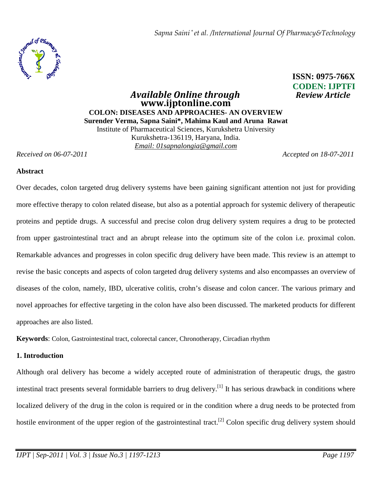

# *<u>Available Online through</u>* **www.ijptonline.com COLON: DISEASES AND APPROACHES- AN OVERVIEW Surender Verma, Sapna Saini\*, Mahima Kaul and Aruna Rawat**  Institute of Pharmaceutical Sciences, Kurukshetra University Kurukshetra-136119, Haryana, India. *Email: 01sapnalongia@gmail.com*

# **ISSN: 0975-766X CODEN: IJPTFI**

*Received on 06-07-2011 Accepted on 18-07-2011*

#### **Abstract**

Over decades, colon targeted drug delivery systems have been gaining significant attention not just for providing more effective therapy to colon related disease, but also as a potential approach for systemic delivery of therapeutic proteins and peptide drugs. A successful and precise colon drug delivery system requires a drug to be protected from upper gastrointestinal tract and an abrupt release into the optimum site of the colon i.e. proximal colon. Remarkable advances and progresses in colon specific drug delivery have been made. This review is an attempt to revise the basic concepts and aspects of colon targeted drug delivery systems and also encompasses an overview of diseases of the colon, namely, IBD, ulcerative colitis, crohn's disease and colon cancer. The various primary and novel approaches for effective targeting in the colon have also been discussed. The marketed products for different approaches are also listed.

**Keywords**: Colon, Gastrointestinal tract, colorectal cancer, Chronotherapy, Circadian rhythm

# **1. Introduction**

Although oral delivery has become a widely accepted route of administration of therapeutic drugs, the gastro intestinal tract presents several formidable barriers to drug delivery.<sup>[1]</sup> It has serious drawback in conditions where localized delivery of the drug in the colon is required or in the condition where a drug needs to be protected from hostile environment of the upper region of the gastrointestinal tract.<sup>[2]</sup> Colon specific drug delivery system should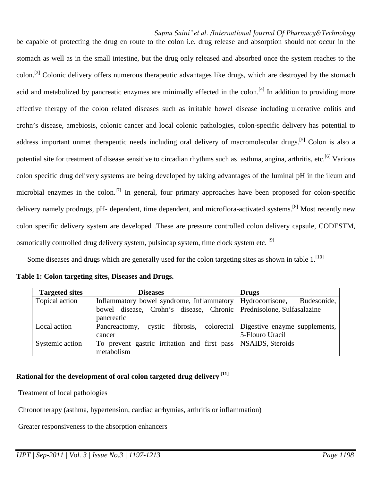be capable of protecting the drug en route to the colon i.e. drug release and absorption should not occur in the stomach as well as in the small intestine, but the drug only released and absorbed once the system reaches to the colon.<sup>[3]</sup> Colonic delivery offers numerous therapeutic advantages like drugs, which are destroyed by the stomach acid and metabolized by pancreatic enzymes are minimally effected in the colon.<sup>[4]</sup> In addition to providing more effective therapy of the colon related diseases such as irritable bowel disease including ulcerative colitis and crohn's disease, amebiosis, colonic cancer and local colonic pathologies, colon-specific delivery has potential to address important unmet therapeutic needs including oral delivery of macromolecular drugs.<sup>[5]</sup> Colon is also a potential site for treatment of disease sensitive to circadian rhythms such as asthma, angina, arthritis, etc.<sup>[6]</sup> Various colon specific drug delivery systems are being developed by taking advantages of the luminal pH in the ileum and microbial enzymes in the colon.<sup>[7]</sup> In general, four primary approaches have been proposed for colon-specific delivery namely prodrugs, pH- dependent, time dependent, and microflora-activated systems.<sup>[8]</sup> Most recently new colon specific delivery system are developed .These are pressure controlled colon delivery capsule, CODESTM, osmotically controlled drug delivery system, pulsincap system, time clock system etc. <sup>[9]</sup>

Some diseases and drugs which are generally used for the colon targeting sites as shown in table  $1$ .<sup>[10]</sup>

| <b>Targeted sites</b> | <b>Diseases</b>                                                     | <b>Drugs</b>                                       |
|-----------------------|---------------------------------------------------------------------|----------------------------------------------------|
| Topical action        | Inflammatory bowel syndrome, Inflammatory   Hydrocortisone,         | Budesonide,                                        |
|                       | bowel disease, Crohn's disease, Chronic Prednisolone, Sulfasalazine |                                                    |
|                       | pancreatic                                                          |                                                    |
| Local action          | Pancreactomy,<br>cystic                                             | fibrosis, colorectal Digestive enzyme supplements, |
|                       | cancer                                                              | 5-Flouro Uracil                                    |
| Systemic action       | To prevent gastric irritation and first pass   NSAIDS, Steroids     |                                                    |
|                       | metabolism                                                          |                                                    |

**Table 1: Colon targeting sites, Diseases and Drugs.**

# **Rational for the development of oral colon targeted drug delivery [11]**

Treatment of local pathologies

Chronotherapy (asthma, hypertension, cardiac arrhymias, arthritis or inflammation)

Greater responsiveness to the absorption enhancers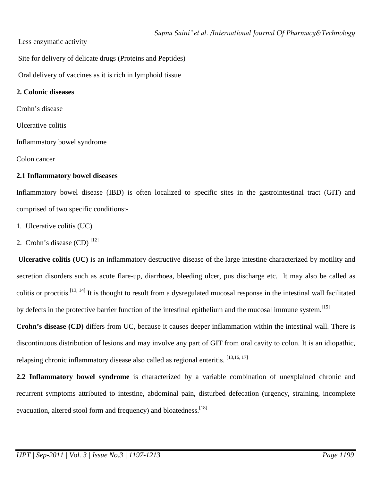Less enzymatic activity

Site for delivery of delicate drugs (Proteins and Peptides)

Oral delivery of vaccines as it is rich in lymphoid tissue

# **2. Colonic diseases**

Crohn's disease

Ulcerative colitis

Inflammatory bowel syndrome

Colon cancer

# **2.1 Inflammatory bowel diseases**

Inflammatory bowel disease (IBD) is often localized to specific sites in the gastrointestinal tract (GIT) and comprised of two specific conditions:-

- 1. Ulcerative colitis (UC)
- 2. Crohn's disease  $(CD)$ <sup>[12]</sup>

 **Ulcerative colitis (UC)** is an inflammatory destructive disease of the large intestine characterized by motility and secretion disorders such as acute flare-up, diarrhoea, bleeding ulcer, pus discharge etc. It may also be called as colitis or proctitis.[13, 14] It is thought to result from a dysregulated mucosal response in the intestinal wall facilitated by defects in the protective barrier function of the intestinal epithelium and the mucosal immune system.[15]

**Crohn's disease (CD)** differs from UC, because it causes deeper inflammation within the intestinal wall. There is discontinuous distribution of lesions and may involve any part of GIT from oral cavity to colon. It is an idiopathic, relapsing chronic inflammatory disease also called as regional enteritis. [13,16, 17]

**2.2 Inflammatory bowel syndrome** is characterized by a variable combination of unexplained chronic and recurrent symptoms attributed to intestine, abdominal pain, disturbed defecation (urgency, straining, incomplete evacuation, altered stool form and frequency) and bloatedness.<sup>[18]</sup>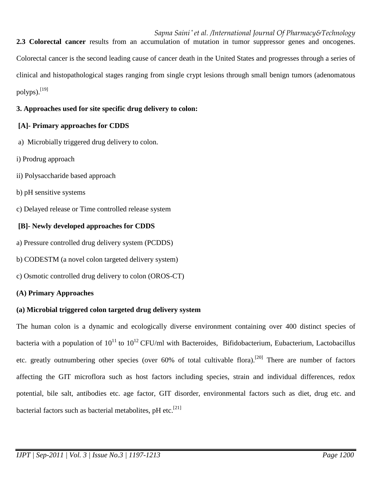**2.3 Colorectal cancer** results from an accumulation of mutation in tumor suppressor genes and oncogenes. Colorectal cancer is the second leading cause of cancer death in the United States and progresses through a series of clinical and histopathological stages ranging from single crypt lesions through small benign tumors (adenomatous polyps). $^{[19]}$ 

# **3. Approaches used for site specific drug delivery to colon:**

# **[A]- Primary approaches for CDDS**

- a) Microbially triggered drug delivery to colon.
- i) Prodrug approach
- ii) Polysaccharide based approach
- b) pH sensitive systems
- c) Delayed release or Time controlled release system

# **[B]- Newly developed approaches for CDDS**

- a) Pressure controlled drug delivery system (PCDDS)
- b) CODESTM (a novel colon targeted delivery system)
- c) Osmotic controlled drug delivery to colon (OROS-CT)

# **(A) Primary Approaches**

# **(a) Microbial triggered colon targeted drug delivery system**

The human colon is a dynamic and ecologically diverse environment containing over 400 distinct species of bacteria with a population of  $10^{11}$  to  $10^{12}$  CFU/ml with Bacteroides, Bifidobacterium, Eubacterium, Lactobacillus etc. greatly outnumbering other species (over 60% of total cultivable flora).<sup>[20]</sup> There are number of factors affecting the GIT microflora such as host factors including species, strain and individual differences, redox potential, bile salt, antibodies etc. age factor, GIT disorder, environmental factors such as diet, drug etc. and bacterial factors such as bacterial metabolites,  $pH$  etc.<sup>[21]</sup>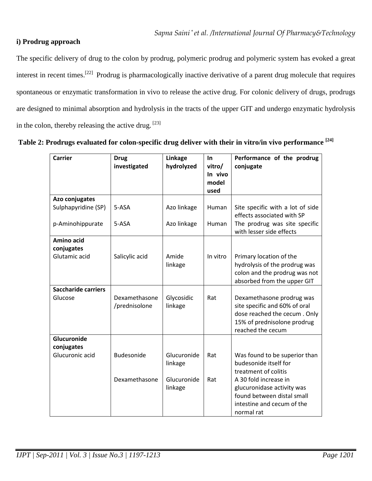# **i) Prodrug approach**

The specific delivery of drug to the colon by prodrug, polymeric prodrug and polymeric system has evoked a great interest in recent times.[22] Prodrug is pharmacologically inactive derivative of a parent drug molecule that requires spontaneous or enzymatic transformation in vivo to release the active drug. For colonic delivery of drugs, prodrugs are designed to minimal absorption and hydrolysis in the tracts of the upper GIT and undergo enzymatic hydrolysis in the colon, thereby releasing the active drug.  $[23]$ 

| Table 2: Prodrugs evaluated for colon-specific drug deliver with their in vitro/in vivo performance <sup>[24]</sup> |  |  |  |  |
|---------------------------------------------------------------------------------------------------------------------|--|--|--|--|
|---------------------------------------------------------------------------------------------------------------------|--|--|--|--|

| <b>Carrier</b>                        | <b>Drug</b><br>investigated    | Linkage<br>hydrolyzed  | In<br>vitro/<br>In vivo<br>model | Performance of the prodrug<br>conjugate                                                                                                        |
|---------------------------------------|--------------------------------|------------------------|----------------------------------|------------------------------------------------------------------------------------------------------------------------------------------------|
|                                       |                                |                        | used                             |                                                                                                                                                |
| Azo conjugates                        |                                |                        |                                  |                                                                                                                                                |
| Sulphapyridine (SP)                   | 5-ASA                          | Azo linkage            | Human                            | Site specific with a lot of side<br>effects associated with SP                                                                                 |
| p-Aminohippurate                      | 5-ASA                          | Azo linkage            | Human                            | The prodrug was site specific<br>with lesser side effects                                                                                      |
| Amino acid                            |                                |                        |                                  |                                                                                                                                                |
| conjugates<br>Glutamic acid           | Salicylic acid                 | Amide<br>linkage       | In vitro                         | Primary location of the<br>hydrolysis of the prodrug was<br>colon and the prodrug was not<br>absorbed from the upper GIT                       |
| <b>Saccharide carriers</b><br>Glucose | Dexamethasone<br>/prednisolone | Glycosidic<br>linkage  | Rat                              | Dexamethasone prodrug was<br>site specific and 60% of oral<br>dose reached the cecum. Only<br>15% of prednisolone prodrug<br>reached the cecum |
| Glucuronide                           |                                |                        |                                  |                                                                                                                                                |
| conjugates<br>Glucuronic acid         | Budesonide                     | Glucuronide<br>linkage | Rat                              | Was found to be superior than<br>budesonide itself for<br>treatment of colitis                                                                 |
|                                       | Dexamethasone                  | Glucuronide<br>linkage | Rat                              | A 30 fold increase in<br>glucuronidase activity was<br>found between distal small<br>intestine and cecum of the<br>normal rat                  |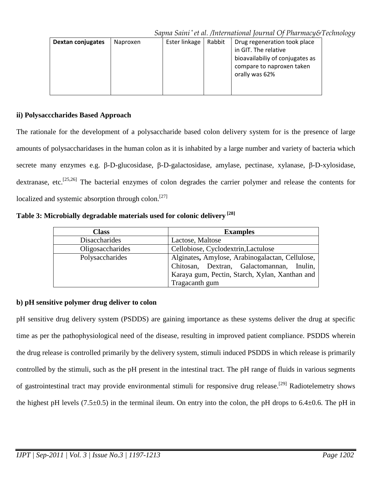| Dextan conjugates | Naproxen | Ester linkage | Rabbit | Drug regeneration took place<br>in GIT. The relative                           |
|-------------------|----------|---------------|--------|--------------------------------------------------------------------------------|
|                   |          |               |        | bioavailabiliy of conjugates as<br>compare to naproxen taken<br>orally was 62% |
|                   |          |               |        |                                                                                |

# **ii) Polysacccharides Based Approach**

The rationale for the development of a polysaccharide based colon delivery system for is the presence of large amounts of polysaccharidases in the human colon as it is inhabited by a large number and variety of bacteria which secrete many enzymes e.g. β-D-glucosidase, β-D-galactosidase, amylase, pectinase, xylanase, β-D-xylosidase, dextranase, etc.<sup>[25,26]</sup> The bacterial enzymes of colon degrades the carrier polymer and release the contents for localized and systemic absorption through colon.<sup>[27]</sup>

**Table 3: Microbially degradable materials used for colonic delivery [28]** 

| <b>Class</b>         | <b>Examples</b>                                                                                                                                                  |
|----------------------|------------------------------------------------------------------------------------------------------------------------------------------------------------------|
| <b>Disaccharides</b> | Lactose, Maltose                                                                                                                                                 |
| Oligosaccharides     | Cellobiose, Cyclodextrin, Lactulose                                                                                                                              |
| Polysaccharides      | Alginates, Amylose, Arabinogalactan, Cellulose,<br>Chitosan, Dextran, Galactomannan, Inulin,<br>Karaya gum, Pectin, Starch, Xylan, Xanthan and<br>Tragacanth gum |

# **b) pH sensitive polymer drug deliver to colon**

pH sensitive drug delivery system (PSDDS) are gaining importance as these systems deliver the drug at specific time as per the pathophysiological need of the disease, resulting in improved patient compliance. PSDDS wherein the drug release is controlled primarily by the delivery system, stimuli induced PSDDS in which release is primarily controlled by the stimuli, such as the pH present in the intestinal tract. The pH range of fluids in various segments of gastrointestinal tract may provide environmental stimuli for responsive drug release.<sup>[29]</sup> Radiotelemetry shows the highest pH levels (7.5 $\pm$ 0.5) in the terminal ileum. On entry into the colon, the pH drops to 6.4 $\pm$ 0.6. The pH in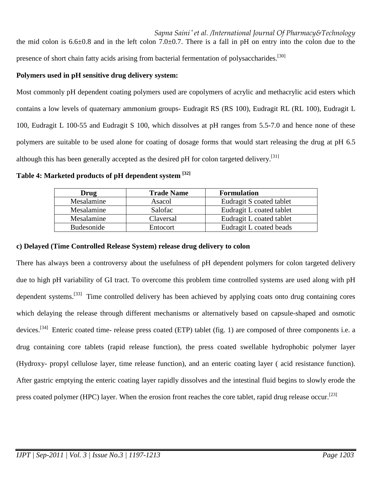*Sapna Saini \* et al. /International Journal Of Pharmacy&Technology* the mid colon is  $6.6\pm0.8$  and in the left colon 7.0 $\pm$ 0.7. There is a fall in pH on entry into the colon due to the presence of short chain fatty acids arising from bacterial fermentation of polysaccharides.<sup>[30]</sup>

# **Polymers used in pH sensitive drug delivery system:**

Most commonly pH dependent coating polymers used are copolymers of acrylic and methacrylic acid esters which contains a low levels of quaternary ammonium groups- Eudragit RS (RS 100), Eudragit RL (RL 100), Eudragit L 100, Eudragit L 100-55 and Eudragit S 100, which dissolves at pH ranges from 5.5-7.0 and hence none of these polymers are suitable to be used alone for coating of dosage forms that would start releasing the drug at pH 6.5 although this has been generally accepted as the desired pH for colon targeted delivery.<sup>[31]</sup>

**Table 4: Marketed products of pH dependent system [32]** 

| Drug       | <b>Trade Name</b> | <b>Formulation</b>       |
|------------|-------------------|--------------------------|
| Mesalamine | Asacol            | Eudragit S coated tablet |
| Mesalamine | Salofac           | Eudragit L coated tablet |
| Mesalamine | Claversal         | Eudragit L coated tablet |
| Budesonide | <b>Entocort</b>   | Eudragit L coated beads  |

# **c) Delayed (Time Controlled Release System) release drug delivery to colon**

There has always been a controversy about the usefulness of pH dependent polymers for colon targeted delivery due to high pH variability of GI tract. To overcome this problem time controlled systems are used along with pH dependent systems.<sup>[33]</sup> Time controlled delivery has been achieved by applying coats onto drug containing cores which delaying the release through different mechanisms or alternatively based on capsule-shaped and osmotic devices.<sup>[34]</sup> Enteric coated time- release press coated (ETP) tablet (fig. 1) are composed of three components i.e. a drug containing core tablets (rapid release function), the press coated swellable hydrophobic polymer layer (Hydroxy- propyl cellulose layer, time release function), and an enteric coating layer ( acid resistance function). After gastric emptying the enteric coating layer rapidly dissolves and the intestinal fluid begins to slowly erode the press coated polymer (HPC) layer. When the erosion front reaches the core tablet, rapid drug release occur.<sup>[23]</sup>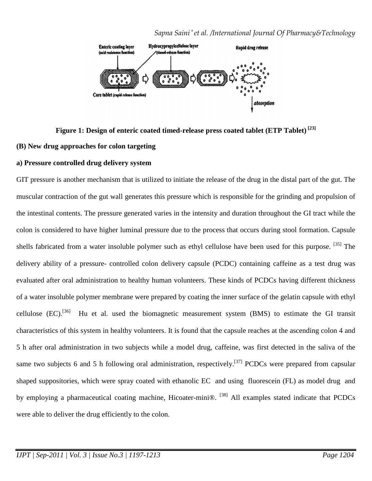

# **Figure 1: Design of enteric coated timed-release press coated tablet (ETP Tablet) [23]**

#### **(B) New drug approaches for colon targeting**

#### **a) Pressure controlled drug delivery system**

GIT pressure is another mechanism that is utilized to initiate the release of the drug in the distal part of the gut. The muscular contraction of the gut wall generates this pressure which is responsible for the grinding and propulsion of the intestinal contents. The pressure generated varies in the intensity and duration throughout the GI tract while the colon is considered to have higher luminal pressure due to the process that occurs during stool formation. Capsule shells fabricated from a water insoluble polymer such as ethyl cellulose have been used for this purpose. <sup>[35]</sup> The delivery ability of a pressure- controlled colon delivery capsule (PCDC) containing caffeine as a test drug was evaluated after oral administration to healthy human volunteers. These kinds of PCDCs having different thickness of a water insoluble polymer membrane were prepared by coating the inner surface of the gelatin capsule with ethyl cellulose (EC).<sup>[36]</sup> Hu et al. used the biomagnetic measurement system (BMS) to estimate the GI transit characteristics of this system in healthy volunteers. It is found that the capsule reaches at the ascending colon 4 and 5 h after oral administration in two subjects while a model drug, caffeine, was first detected in the saliva of the same two subjects 6 and 5 h following oral administration, respectively.<sup>[37]</sup> PCDCs were prepared from capsular shaped suppositories, which were spray coated with ethanolic EC and using fluorescein (FL) as model drug and by employing a pharmaceutical coating machine, Hicoater-mini®. <sup>[38]</sup> All examples stated indicate that PCDCs were able to deliver the drug efficiently to the colon.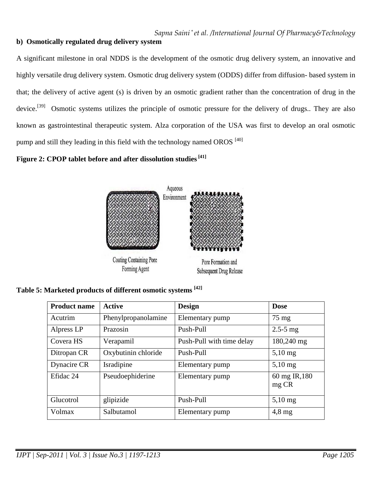# **b) Osmotically regulated drug delivery system**

A significant milestone in oral NDDS is the development of the osmotic drug delivery system, an innovative and highly versatile drug delivery system. Osmotic drug delivery system (ODDS) differ from diffusion- based system in that; the delivery of active agent (s) is driven by an osmotic gradient rather than the concentration of drug in the device.<sup>[39]</sup> Osmotic systems utilizes the principle of osmotic pressure for the delivery of drugs.. They are also known as gastrointestinal therapeutic system. Alza corporation of the USA was first to develop an oral osmotic pump and still they leading in this field with the technology named OROS<sup>[40]</sup>

# **Figure 2: CPOP tablet before and after dissolution studies [41]**



|  | Table 5: Marketed products of different osmotic systems [42] |  |
|--|--------------------------------------------------------------|--|
|--|--------------------------------------------------------------|--|

| <b>Product name</b> | <b>Active</b>       | <b>Design</b>             | <b>Dose</b>           |
|---------------------|---------------------|---------------------------|-----------------------|
| Acutrim             | Phenylpropanolamine | Elementary pump           | $75 \text{ mg}$       |
| Alpress LP          | Prazosin            | Push-Pull                 | $2.5 - 5$ mg          |
| Covera HS           | Verapamil           | Push-Pull with time delay | 180,240 mg            |
| Ditropan CR         | Oxybutinin chloride | Push-Pull                 | $5,10$ mg             |
| Dynacire CR         | Isradipine          | Elementary pump           | $5,10$ mg             |
| Efidac 24           | Pseudoephiderine    | Elementary pump           | 60 mg IR,180<br>mg CR |
| Glucotrol           | glipizide           | Push-Pull                 | $5,10$ mg             |
| Volmax              | Salbutamol          | Elementary pump           | $4,8 \text{ mg}$      |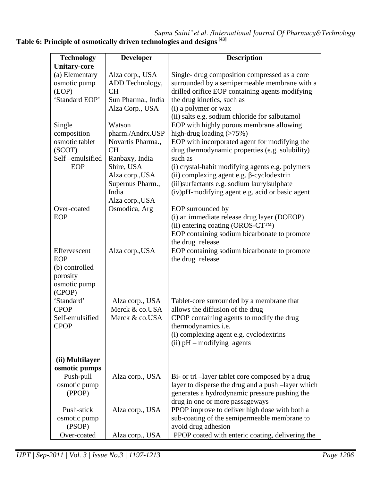*Sapna Saini \* et al. /International Journal Of Pharmacy&Technology* **Table 6: Principle of osmotically driven technologies and designs [43]**

| <b>Technology</b>                                                           | <b>Developer</b>                                                              | <b>Description</b>                                                                                                                                                                                                           |
|-----------------------------------------------------------------------------|-------------------------------------------------------------------------------|------------------------------------------------------------------------------------------------------------------------------------------------------------------------------------------------------------------------------|
| <b>Unitary-core</b>                                                         |                                                                               |                                                                                                                                                                                                                              |
| (a) Elementary<br>osmotic pump<br>(EOP)                                     | Alza corp., USA<br>ADD Technology,<br><b>CH</b>                               | Single- drug composition compressed as a core<br>surrounded by a semipermeable membrane with a<br>drilled orifice EOP containing agents modifying                                                                            |
| 'Standard EOP'                                                              | Sun Pharma., India<br>Alza Corp., USA                                         | the drug kinetics, such as<br>(i) a polymer or wax<br>(ii) salts e.g. sodium chloride for salbutamol                                                                                                                         |
| Single<br>composition                                                       | Watson<br>pharm./Andrx.USP                                                    | EOP with highly porous membrane allowing<br>high-drug loading $(>75%)$                                                                                                                                                       |
| osmotic tablet<br>(SCOT)<br>Self-emulsified                                 | Novartis Pharma.,<br><b>CH</b><br>Ranbaxy, India                              | EOP with incorporated agent for modifying the<br>drug thermodynamic properties (e.g. solubility)<br>such as                                                                                                                  |
| EOP                                                                         | Shire, USA<br>Alza corp., USA<br>Supernus Pharm.,<br>India<br>Alza corp., USA | (i) crystal-habit modifying agents e.g. polymers<br>(ii) complexing agent e.g. $\beta$ -cyclodextrin<br>(iii)surfactants e.g. sodium laurylsulphate<br>(iv)pH-modifying agent e.g. acid or basic agent                       |
| Over-coated<br>EOP                                                          | Osmodica, Arg                                                                 | EOP surrounded by<br>(i) an immediate release drug layer (DOEOP)<br>(ii) entering coating (OROS-CT <sup>TM</sup> )<br>EOP containing sodium bicarbonate to promote<br>the drug release                                       |
| Effervescent<br>EOP<br>(b) controlled<br>porosity<br>osmotic pump<br>(CPOP) | Alza corp., USA                                                               | EOP containing sodium bicarbonate to promote<br>the drug release                                                                                                                                                             |
| 'Standard'<br><b>CPOP</b><br>Self-emulsified<br><b>CPOP</b>                 | Alza corp., USA<br>Merck & co.USA<br>Merck & co.USA                           | Tablet-core surrounded by a membrane that<br>allows the diffusion of the drug<br>CPOP containing agents to modify the drug<br>thermodynamics i.e.<br>(i) complexing agent e.g. cyclodextrins<br>$(ii)$ pH – modifying agents |
| (ii) Multilayer<br>osmotic pumps<br>Push-pull<br>osmotic pump<br>(PPOP)     | Alza corp., USA                                                               | Bi- or tri -layer tablet core composed by a drug<br>layer to disperse the drug and a push -layer which<br>generates a hydrodynamic pressure pushing the                                                                      |
| Push-stick<br>osmotic pump<br>(PSOP)                                        | Alza corp., USA                                                               | drug in one or more passageways<br>PPOP improve to deliver high dose with both a<br>sub-coating of the semipermeable membrane to<br>avoid drug adhesion                                                                      |
| Over-coated                                                                 | Alza corp., USA                                                               | PPOP coated with enteric coating, delivering the                                                                                                                                                                             |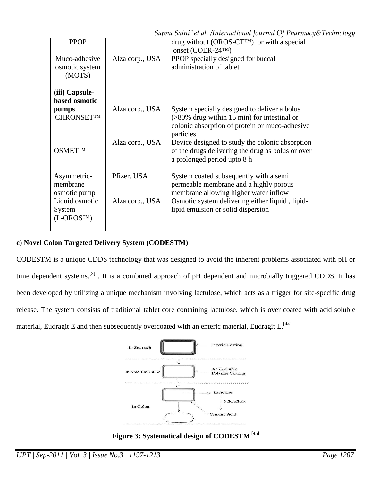|                                           |                 | Sapna Saini * et al. /International Journal Of Pharmacy&Technology                                                                  |
|-------------------------------------------|-----------------|-------------------------------------------------------------------------------------------------------------------------------------|
| <b>PPOP</b>                               |                 | drug without (OROS- $CT^{TM}$ ) or with a special<br>onset (COER-24TM)                                                              |
| Muco-adhesive<br>osmotic system<br>(MOTS) | Alza corp., USA | PPOP specially designed for buccal<br>administration of tablet                                                                      |
| (iii) Capsule-<br>based osmotic           | Alza corp., USA | System specially designed to deliver a bolus                                                                                        |
| pumps<br><b>CHRONSETTM</b>                |                 | $($ >80% drug within 15 min) for intestinal or<br>colonic absorption of protein or muco-adhesive<br>particles                       |
| <b>OSMETTM</b>                            | Alza corp., USA | Device designed to study the colonic absorption<br>of the drugs delivering the drug as bolus or over<br>a prolonged period upto 8 h |
| Asymmetric-<br>membrane<br>osmotic pump   | Pfizer. USA     | System coated subsequently with a semi<br>permeable membrane and a highly porous<br>membrane allowing higher water inflow           |
| Liquid osmotic<br>System<br>$(L-OROSTM)$  | Alza corp., USA | Osmotic system delivering either liquid, lipid-<br>lipid emulsion or solid dispersion                                               |

# **c) Novel Colon Targeted Delivery System (CODESTM)**

CODESTM is a unique CDDS technology that was designed to avoid the inherent problems associated with pH or time dependent systems.<sup>[3]</sup>. It is a combined approach of pH dependent and microbially triggered CDDS. It has been developed by utilizing a unique mechanism involving lactulose, which acts as a trigger for site-specific drug release. The system consists of traditional tablet core containing lactulose, which is over coated with acid soluble material, Eudragit E and then subsequently overcoated with an enteric material, Eudragit L.<sup>[44]</sup>



**Figure 3: Systematical design of CODESTM [45]**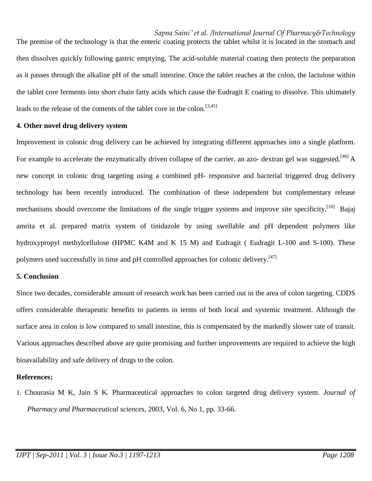The premise of the technology is that the enteric coating protects the tablet whilst it is located in the stomach and then dissolves quickly following gastric emptying. The acid-soluble material coating then protects the preparation as it passes through the alkaline pH of the small intestine. Once the tablet reaches at the colon, the lactulose within the tablet core ferments into short chain fatty acids which cause the Eudragit E coating to dissolve. This ultimately leads to the release of the contents of the tablet core in the colon.<sup>[3,45]</sup>

#### **4. Other novel drug delivery system**

Improvement in colonic drug delivery can be achieved by integrating different approaches into a single platform. For example to accelerate the enzymatically driven collapse of the carrier, an azo- dextran gel was suggested.<sup>[46]</sup> A new concept in colonic drug targeting using a combined pH- responsive and bacterial triggered drug delivery technology has been recently introduced. The combination of these independent but complementary release mechanisms should overcome the limitations of the single trigger systems and improve site specificity.<sup>[10]</sup> Bajaj amrita et al. prepared matrix system of tinidazole by using swellable and pH dependent polymers like hydroxypropyl methylcellulose (HPMC K4M and K 15 M) and Eudragit ( Eudragit L-100 and S-100). These polymers used successfully in time and pH controlled approaches for colonic delivery.<sup>[47]</sup>

#### **5. Conclusion**

Since two decades, considerable amount of research work has been carried out in the area of colon targeting. CDDS offers considerable therapeutic benefits to patients in terms of both local and systemic treatment. Although the surface area in colon is low compared to small intestine, this is compensated by the markedly slower rate of transit. Various approaches described above are quite promising and further improvements are required to achieve the high bioavailability and safe delivery of drugs to the colon.

#### **References:**

1. Chourasia M K, Jain S K. Pharmaceutical approaches to colon targeted drug delivery system. *Journal of Pharmacy and Pharmaceutical sciences,* 2003, Vol. 6, No 1, pp. 33-66.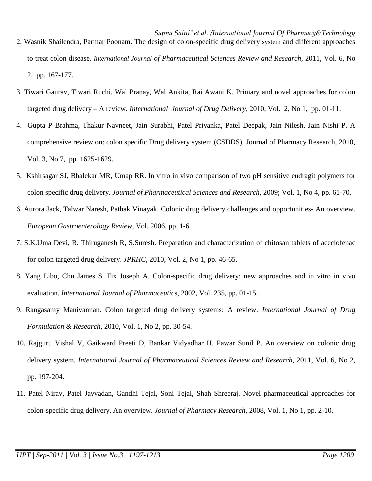- *Sapna Saini \* et al. /International Journal Of Pharmacy&Technology* 2. Wasnik Shailendra, Parmar Poonam. The design of colon-specific drug delivery system and different approaches to treat colon disease. *International Journal of Pharmaceutical Sciences Review and Research,* 2011, Vol. 6, No 2, pp. 167-177.
- 3. Tiwari Gaurav, Tiwari Ruchi, Wal Pranay, Wal Ankita, Rai Awani K. Primary and novel approaches for colon targeted drug delivery – A review*. International Journal of Drug Delivery,* 2010, Vol. 2, No 1, pp. 01-11.
- 4. Gupta P Brahma, Thakur Navneet, Jain Surabhi, Patel Priyanka, Patel Deepak, Jain Nilesh, Jain Nishi P. A comprehensive review on: colon specific Drug delivery system (CSDDS). Journal of Pharmacy Research, 2010, Vol. 3, No 7, pp. 1625-1629.
- 5. Kshirsagar SJ, Bhalekar MR, Umap RR. In vitro in vivo comparison of two pH sensitive eudragit polymers for colon specific drug delivery. *Journal of Pharmaceutical Sciences and Research,* 2009; Vol. 1, No 4, pp. 61-70.
- 6. Aurora Jack, Talwar Naresh, Pathak Vinayak. Colonic drug delivery challenges and opportunities- An overview. *European Gastroenterology Review*, Vol. 2006, pp. 1-6.
- 7. S.K.Uma Devi, R. Thiruganesh R, S.Suresh. Preparation and characterization of chitosan tablets of aceclofenac for colon targeted drug delivery. *JPRHC,* 2010, Vol. 2, No 1, pp. 46-65.
- 8. Yang Libo, Chu James S. Fix Joseph A. Colon-specific drug delivery: new approaches and in vitro in vivo evaluation. *International Journal of Pharmaceutic*s, 2002, Vol. 235, pp. 01-15.
- 9. Rangasamy Manivannan. Colon targeted drug delivery systems: A review. *International Journal of Drug Formulation & Research*, 2010, Vol. 1, No 2, pp. 30-54.
- 10. Rajguru Vishal V, Gaikward Preeti D, Bankar Vidyadhar H, Pawar Sunil P. An overview on colonic drug delivery system. *International Journal of Pharmaceutical Sciences Review and Research,* 2011, Vol. 6, No 2, pp. 197-204.
- 11. Patel Nirav, Patel Jayvadan, Gandhi Tejal, Soni Tejal, Shah Shreeraj. Novel pharmaceutical approaches for colon-specific drug delivery. An overview. *Journal of Pharmacy Research,* 2008, Vol. 1, No 1, pp. 2-10.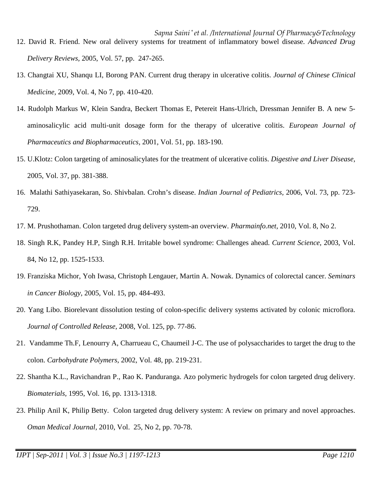- *Sapna Saini \* et al. /International Journal Of Pharmacy&Technology* 12. David R. Friend. New oral delivery systems for treatment of inflammatory bowel disease. *Advanced Drug Delivery Reviews,* 2005, Vol. 57, pp. 247-265.
- 13. Changtai XU, Shanqu LI, Borong PAN. Current drug therapy in ulcerative colitis. *Journal of Chinese Clinical Medicine,* 2009, Vol. 4, No 7, pp. 410-420.
- 14. Rudolph Markus W, Klein Sandra, Beckert Thomas E, Petereit Hans-Ulrich, Dressman Jennifer B. A new 5 aminosalicylic acid multi-unit dosage form for the therapy of ulcerative colitis. *European Journal of Pharmaceutics and Biopharmaceutics,* 2001, Vol. 51, pp. 183-190.
- 15. U.Klotz: Colon targeting of aminosalicylates for the treatment of ulcerative colitis. *Digestive and Liver Disease,* 2005, Vol. 37, pp. 381-388.
- 16. Malathi Sathiyasekaran, So. Shivbalan. Crohn's disease. *Indian Journal of Pediatrics,* 2006, Vol. 73, pp. 723- 729.
- 17. M. Prushothaman. Colon targeted drug delivery system-an overview. *Pharmainfo.net,* 2010, Vol. 8, No 2.
- 18. Singh R.K, Pandey H.P, Singh R.H. Irritable bowel syndrome: Challenges ahead. *Current Science,* 2003, Vol. 84, No 12, pp. 1525-1533.
- 19. Franziska Michor, Yoh Iwasa, Christoph Lengauer, Martin A. Nowak. Dynamics of colorectal cancer. *Seminars in Cancer Biology,* 2005, Vol. 15, pp. 484-493.
- 20. Yang Libo. Biorelevant dissolution testing of colon-specific delivery systems activated by colonic microflora. *Journal of Controlled Release,* 2008, Vol. 125, pp. 77-86.
- 21. Vandamme Th.F, Lenourry A, Charrueau C, Chaumeil J-C. The use of polysaccharides to target the drug to the colon. *Carbohydrate Polymers,* 2002, Vol. 48, pp. 219-231.
- 22. Shantha K.L., Ravichandran P., Rao K. Panduranga. Azo polymeric hydrogels for colon targeted drug delivery. *Biomaterials,* 1995, Vol. 16, pp. 1313-1318.
- 23. Philip Anil K, Philip Betty. Colon targeted drug delivery system: A review on primary and novel approaches. *Oman Medical Journal,* 2010, Vol. 25, No 2, pp. 70-78.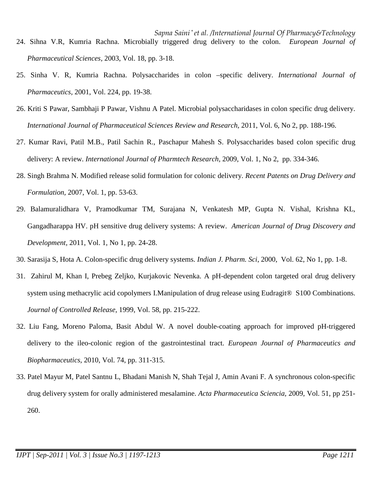- *Sapna Saini \* et al. /International Journal Of Pharmacy&Technology* 24. Sihna V.R, Kumria Rachna. Microbially triggered drug delivery to the colon. *European Journal of Pharmaceutical Sciences,* 2003, Vol. 18, pp. 3-18.
- 25. Sinha V. R, Kumria Rachna. Polysaccharides in colon –specific delivery. *International Journal of Pharmaceutics,* 2001, Vol. 224, pp. 19-38.
- 26. Kriti S Pawar, Sambhaji P Pawar, Vishnu A Patel. Microbial polysaccharidases in colon specific drug delivery. *International Journal of Pharmaceutical Sciences Review and Research,* 2011, Vol. 6, No 2, pp. 188-196.
- 27. Kumar Ravi, Patil M.B., Patil Sachin R., Paschapur Mahesh S. Polysaccharides based colon specific drug delivery: A review. *International Journal of Pharmtech Research,* 2009, Vol. 1, No 2, pp. 334-346.
- 28. Singh Brahma N. Modified release solid formulation for colonic delivery. *Recent Patents on Drug Delivery and Formulation,* 2007, Vol. 1, pp. 53-63.
- 29. Balamuralidhara V, Pramodkumar TM, Surajana N, Venkatesh MP, Gupta N. Vishal, Krishna KL, Gangadharappa HV. pH sensitive drug delivery systems: A review. *American Journal of Drug Discovery and Development,* 2011, Vol. 1, No 1, pp. 24-28.
- 30. Sarasija S, Hota A. Colon-specific drug delivery systems. *Indian J. Pharm. Sci*, 2000, Vol. 62, No 1, pp. 1-8.
- 31. Zahirul M, Khan I, Prebeg Zeljko, Kurjakovic Nevenka. A pH-dependent colon targeted oral drug delivery system using methacrylic acid copolymers I.Manipulation of drug release using Eudragit® S100 Combinations. *Journal of Controlled Release,* 1999, Vol. 58, pp. 215-222.
- 32. Liu Fang, Moreno Paloma, Basit Abdul W. A novel double-coating approach for improved pH-triggered delivery to the ileo-colonic region of the gastrointestinal tract. *European Journal of Pharmaceutics and Biopharmaceutics,* 2010, Vol. 74, pp. 311-315.
- 33. Patel Mayur M, Patel Santnu L, Bhadani Manish N, Shah Tejal J, Amin Avani F. A synchronous colon-specific drug delivery system for orally administered mesalamine. *Acta Pharmaceutica Sciencia,* 2009, Vol. 51, pp 251- 260.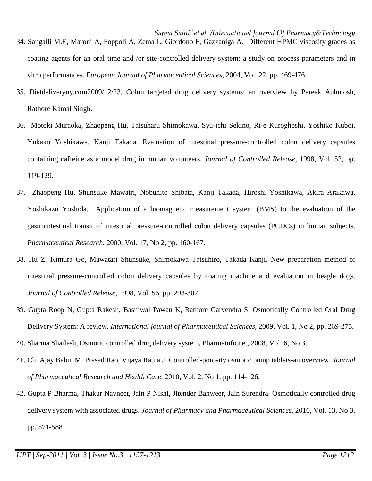- *Sapna Saini \* et al. /International Journal Of Pharmacy&Technology* 34. Sangalli M.E, Maroni A, Foppoli A, Zema L, Giordono F, Gazzaniga A. Different HPMC viscosity grades as coating agents for an oral time and /or site-controlled delivery system: a study on process parameters and in vitro performances. *European Journal of Pharmaceutical Sciences,* 2004, Vol. 22, pp. 469-476.
- 35. Dietdeliveryny.com2009/12/23, Colon targeted drug delivery systems: an overview by Pareek Auhutosh, Rathore Kamal Singh.
- 36. Motoki Muraoka, Zhaopeng Hu, Tatsuharu Shimokawa, Syu-ichi Sekino, Ri-e Kuroghoshi, Yoshiko Kuboi, Yukako Yoshikawa, Kanji Takada. Evaluation of intestinal pressure-controlled colon delivery capsules containing caffeine as a model drug in human volunteers. *Journal of Controlled Release,* 1998, Vol. 52, pp. 119-129.
- 37. Zhaopeng Hu, Shunsuke Mawatri, Nobuhito Shibata, Kanji Takada, Hiroshi Yoshikawa, Akira Arakawa, Yoshikazu Yoshida. Application of a biomagnetic measurement system (BMS) to the evaluation of the gastrointestinal transit of intestinal pressure-controlled colon delivery capsules (PCDCs) in human subjects. *Pharmaceutical Research,* 2000, Vol. 17, No 2, pp. 160-167.
- 38. Hu Z, Kimura Go, Mawatari Shunsuke, Shimokawa Tatsuhiro, Takada Kanji. New preparation method of intestinal pressure-controlled colon delivery capsules by coating machine and evaluation in beagle dogs. *Journal of Controlled Release,* 1998, Vol. 56, pp. 293-302.
- 39. Gupta Roop N, Gupta Rakesh, Basniwal Pawan K, Rathore Garvendra S. Osmotically Controlled Oral Drug Delivery System: A review*. International journal of Pharmaceutical Sciences,* 2009, Vol. 1, No 2, pp. 269-275.
- 40. Sharma Shailesh, Osmotic controlled drug delivery system, Pharmainfo.net, 2008, Vol. 6, No 3.
- 41. Ch. Ajay Babu, M. Prasad Rao, Vijaya Ratna J. Controlled-porosity osmotic pump tablets-an overview. *Journal of Pharmaceutical Research and Health Care*, 2010, Vol. 2, No 1, pp. 114-126.
- 42. Gupta P Bharma, Thakur Navneet, Jain P Nishi, Jitender Banweer, Jain Surendra. Osmotically controlled drug delivery system with associated drugs. *Journal of Pharmacy and Pharmaceutical Sciences,* 2010, Vol. 13, No 3, pp. 571-588